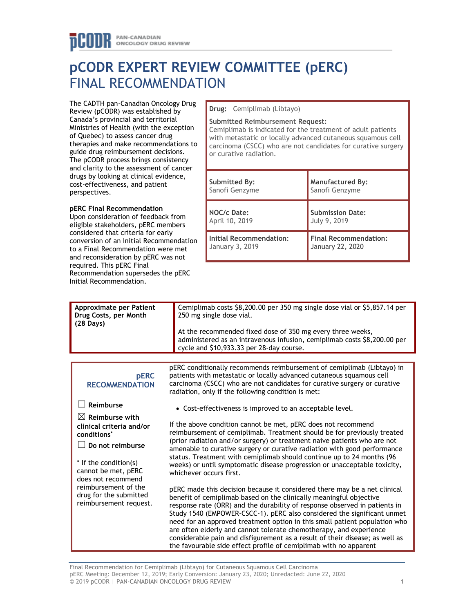# **pCODR EXPERT REVIEW COMMITTEE (pERC)** FINAL RECOMMENDATION

The CADTH pan-Canadian Oncology Drug Review (pCODR) was established by Canada's provincial and territorial Ministries of Health (with the exception of Quebec) to assess cancer drug therapies and make recommendations to guide drug reimbursement decisions. The pCODR process brings consistency and clarity to the assessment of cancer drugs by looking at clinical evidence, cost-effectiveness, and patient perspectives.

# **pERC Final Recommendation**

Upon consideration of feedback from eligible stakeholders, pERC members considered that criteria for early conversion of an Initial Recommendation to a Final Recommendation were met and reconsideration by pERC was not required. This pERC Final Recommendation supersedes the pERC Initial Recommendation.

**Drug:** Cemiplimab (Libtayo)

#### **Submitted Reimbursement Request:**

Cemiplimab is indicated for the treatment of adult patients with metastatic or locally advanced cutaneous squamous cell carcinoma (CSCC) who are not candidates for curative surgery or curative radiation.

| Submitted By:           | <b>Manufactured By:</b>      |  |
|-------------------------|------------------------------|--|
| Sanofi Genzyme          | Sanofi Genzyme               |  |
| NOC/c Date:             | <b>Submission Date:</b>      |  |
| April 10, 2019          | July 9, 2019                 |  |
| Initial Recommendation: | <b>Final Recommendation:</b> |  |
| January 3, 2019         | January 22, 2020             |  |

| <b>Approximate per Patient</b><br>Drug Costs, per Month<br>$(28 \text{ Days})$                                                                                              | Cemiplimab costs \$8,200.00 per 350 mg single dose vial or \$5,857.14 per<br>250 mg single dose vial.<br>At the recommended fixed dose of 350 mg every three weeks,<br>administered as an intravenous infusion, cemiplimab costs \$8,200.00 per<br>cycle and \$10,933.33 per 28-day course.                                                                                                                                                                                                                                                                                                                       |  |  |  |
|-----------------------------------------------------------------------------------------------------------------------------------------------------------------------------|-------------------------------------------------------------------------------------------------------------------------------------------------------------------------------------------------------------------------------------------------------------------------------------------------------------------------------------------------------------------------------------------------------------------------------------------------------------------------------------------------------------------------------------------------------------------------------------------------------------------|--|--|--|
|                                                                                                                                                                             |                                                                                                                                                                                                                                                                                                                                                                                                                                                                                                                                                                                                                   |  |  |  |
| <b>pERC</b><br><b>RECOMMENDATION</b>                                                                                                                                        | pERC conditionally recommends reimbursement of cemiplimab (Libtayo) in<br>patients with metastatic or locally advanced cutaneous squamous cell<br>carcinoma (CSCC) who are not candidates for curative surgery or curative<br>radiation, only if the following condition is met:                                                                                                                                                                                                                                                                                                                                  |  |  |  |
| Reimburse                                                                                                                                                                   | • Cost-effectiveness is improved to an acceptable level.                                                                                                                                                                                                                                                                                                                                                                                                                                                                                                                                                          |  |  |  |
| $\boxtimes$ Reimburse with<br>clinical criteria and/or<br>conditions <sup>*</sup><br>Do not reimburse<br>* If the condition(s)<br>cannot be met, pERC<br>does not recommend | If the above condition cannot be met, pERC does not recommend<br>reimbursement of cemiplimab. Treatment should be for previously treated<br>(prior radiation and/or surgery) or treatment naive patients who are not<br>amenable to curative surgery or curative radiation with good performance<br>status. Treatment with cemiplimab should continue up to 24 months (96<br>weeks) or until symptomatic disease progression or unacceptable toxicity,<br>whichever occurs first.                                                                                                                                 |  |  |  |
| reimbursement of the<br>drug for the submitted<br>reimbursement request.                                                                                                    | pERC made this decision because it considered there may be a net clinical<br>benefit of cemiplimab based on the clinically meaningful objective<br>response rate (ORR) and the durability of response observed in patients in<br>Study 1540 (EMPOWER-CSCC-1). pERC also considered the significant unmet<br>need for an approved treatment option in this small patient population who<br>are often elderly and cannot tolerate chemotherapy, and experience<br>considerable pain and disfigurement as a result of their disease; as well as<br>the favourable side effect profile of cemiplimab with no apparent |  |  |  |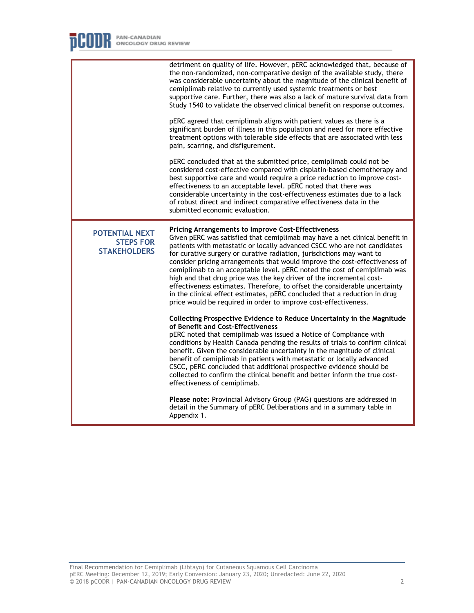|                                                                  | detriment on quality of life. However, pERC acknowledged that, because of<br>the non-randomized, non-comparative design of the available study, there<br>was considerable uncertainty about the magnitude of the clinical benefit of<br>cemiplimab relative to currently used systemic treatments or best<br>supportive care. Further, there was also a lack of mature survival data from<br>Study 1540 to validate the observed clinical benefit on response outcomes.<br>pERC agreed that cemiplimab aligns with patient values as there is a<br>significant burden of illness in this population and need for more effective<br>treatment options with tolerable side effects that are associated with less<br>pain, scarring, and disfigurement.<br>pERC concluded that at the submitted price, cemiplimab could not be<br>considered cost-effective compared with cisplatin-based chemotherapy and<br>best supportive care and would require a price reduction to improve cost-<br>effectiveness to an acceptable level. pERC noted that there was<br>considerable uncertainty in the cost-effectiveness estimates due to a lack<br>of robust direct and indirect comparative effectiveness data in the<br>submitted economic evaluation.                                                                                                                                                                                                          |
|------------------------------------------------------------------|---------------------------------------------------------------------------------------------------------------------------------------------------------------------------------------------------------------------------------------------------------------------------------------------------------------------------------------------------------------------------------------------------------------------------------------------------------------------------------------------------------------------------------------------------------------------------------------------------------------------------------------------------------------------------------------------------------------------------------------------------------------------------------------------------------------------------------------------------------------------------------------------------------------------------------------------------------------------------------------------------------------------------------------------------------------------------------------------------------------------------------------------------------------------------------------------------------------------------------------------------------------------------------------------------------------------------------------------------------------------------------------------------------------------------------------------------------|
| <b>POTENTIAL NEXT</b><br><b>STEPS FOR</b><br><b>STAKEHOLDERS</b> | <b>Pricing Arrangements to Improve Cost-Effectiveness</b><br>Given pERC was satisfied that cemiplimab may have a net clinical benefit in<br>patients with metastatic or locally advanced CSCC who are not candidates<br>for curative surgery or curative radiation, jurisdictions may want to<br>consider pricing arrangements that would improve the cost-effectiveness of<br>cemiplimab to an acceptable level. pERC noted the cost of cemiplimab was<br>high and that drug price was the key driver of the incremental cost-<br>effectiveness estimates. Therefore, to offset the considerable uncertainty<br>in the clinical effect estimates, pERC concluded that a reduction in drug<br>price would be required in order to improve cost-effectiveness.<br>Collecting Prospective Evidence to Reduce Uncertainty in the Magnitude<br>of Benefit and Cost-Effectiveness<br>pERC noted that cemiplimab was issued a Notice of Compliance with<br>conditions by Health Canada pending the results of trials to confirm clinical<br>benefit. Given the considerable uncertainty in the magnitude of clinical<br>benefit of cemiplimab in patients with metastatic or locally advanced<br>CSCC, pERC concluded that additional prospective evidence should be<br>collected to confirm the clinical benefit and better inform the true cost-<br>effectiveness of cemiplimab.<br>Please note: Provincial Advisory Group (PAG) questions are addressed in |
|                                                                  | detail in the Summary of pERC Deliberations and in a summary table in<br>Appendix 1.                                                                                                                                                                                                                                                                                                                                                                                                                                                                                                                                                                                                                                                                                                                                                                                                                                                                                                                                                                                                                                                                                                                                                                                                                                                                                                                                                                    |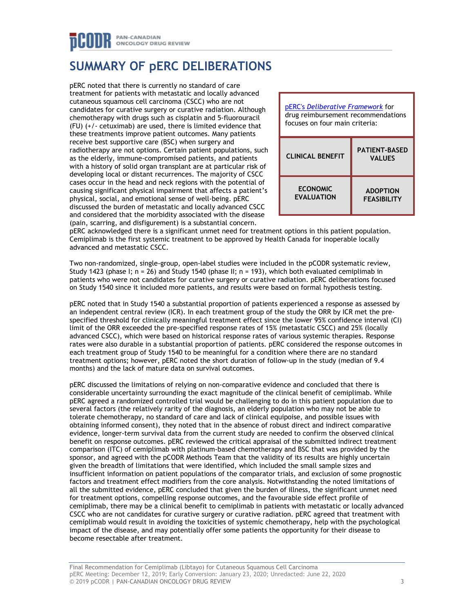# **SUMMARY OF pERC DELIBERATIONS**

pERC noted that there is currently no standard of care treatment for patients with metastatic and locally advanced cutaneous squamous cell carcinoma (CSCC) who are not candidates for curative surgery or curative radiation. Although chemotherapy with drugs such as cisplatin and 5-fluorouracil (FU) (+/- cetuximab) are used, there is limited evidence that these treatments improve patient outcomes. Many patients receive best supportive care (BSC) when surgery and radiotherapy are not options. Certain patient populations, such as the elderly, immune-compromised patients, and patients with a history of solid organ transplant are at particular risk of developing local or distant recurrences. The majority of CSCC cases occur in the head and neck regions with the potential of causing significant physical impairment that affects a patient's physical, social, and emotional sense of well-being. pERC discussed the burden of metastatic and locally advanced CSCC and considered that the morbidity associated with the disease (pain, scarring, and disfigurement) is a substantial concern.

| pERC's Deliberative Framework for<br>drug reimbursement recommendations<br>focuses on four main criteria: |                                       |
|-----------------------------------------------------------------------------------------------------------|---------------------------------------|
| <b>CLINICAL BENEFIT</b>                                                                                   | <b>PATIENT-BASED</b><br><b>VALUES</b> |
| <b>ECONOMIC</b><br><b>EVALUATION</b>                                                                      | <b>ADOPTION</b><br><b>FEASIBILITY</b> |

pERC acknowledged there is a significant unmet need for treatment options in this patient population. Cemiplimab is the first systemic treatment to be approved by Health Canada for inoperable locally advanced and metastatic CSCC.

Two non-randomized, single-group, open-label studies were included in the pCODR systematic review, Study 1423 (phase I;  $n = 26$ ) and Study 1540 (phase II;  $n = 193$ ), which both evaluated cemiplimab in patients who were not candidates for curative surgery or curative radiation. pERC deliberations focused on Study 1540 since it included more patients, and results were based on formal hypothesis testing.

pERC noted that in Study 1540 a substantial proportion of patients experienced a response as assessed by an independent central review (ICR). In each treatment group of the study the ORR by ICR met the prespecified threshold for clinically meaningful treatment effect since the lower 95% confidence interval (CI) limit of the ORR exceeded the pre-specified response rates of 15% (metastatic CSCC) and 25% (locally advanced CSCC), which were based on historical response rates of various systemic therapies. Response rates were also durable in a substantial proportion of patients. pERC considered the response outcomes in each treatment group of Study 1540 to be meaningful for a condition where there are no standard treatment options; however, pERC noted the short duration of follow-up in the study (median of 9.4 months) and the lack of mature data on survival outcomes.

pERC discussed the limitations of relying on non-comparative evidence and concluded that there is considerable uncertainty surrounding the exact magnitude of the clinical benefit of cemiplimab. While pERC agreed a randomized controlled trial would be challenging to do in this patient population due to several factors (the relatively rarity of the diagnosis, an elderly population who may not be able to tolerate chemotherapy, no standard of care and lack of clinical equipoise, and possible issues with obtaining informed consent), they noted that in the absence of robust direct and indirect comparative evidence, longer-term survival data from the current study are needed to confirm the observed clinical benefit on response outcomes. pERC reviewed the critical appraisal of the submitted indirect treatment comparison (ITC) of cemiplimab with platinum-based chemotherapy and BSC that was provided by the sponsor, and agreed with the pCODR Methods Team that the validity of its results are highly uncertain given the breadth of limitations that were identified, which included the small sample sizes and insufficient information on patient populations of the comparator trials, and exclusion of some prognostic factors and treatment effect modifiers from the core analysis. Notwithstanding the noted limitations of all the submitted evidence, pERC concluded that given the burden of illness, the significant unmet need for treatment options, compelling response outcomes, and the favourable side effect profile of cemiplimab, there may be a clinical benefit to cemiplimab in patients with metastatic or locally advanced CSCC who are not candidates for curative surgery or curative radiation. pERC agreed that treatment with cemiplimab would result in avoiding the toxicities of systemic chemotherapy, help with the psychological impact of the disease, and may potentially offer some patients the opportunity for their disease to become resectable after treatment.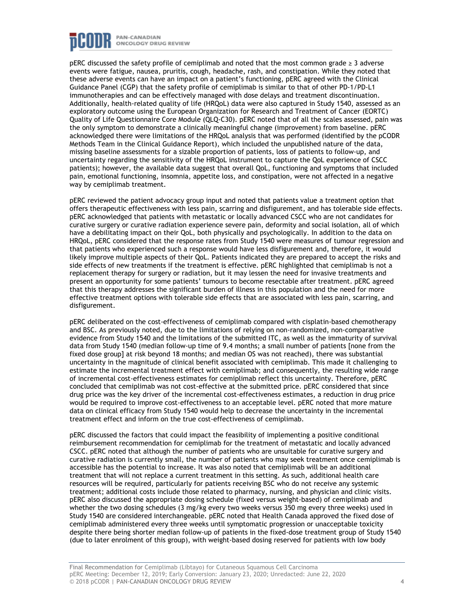

pERC discussed the safety profile of cemiplimab and noted that the most common grade ≥ 3 adverse events were fatigue, nausea, pruritis, cough, headache, rash, and constipation. While they noted that these adverse events can have an impact on a patient's functioning, pERC agreed with the Clinical Guidance Panel (CGP) that the safety profile of cemiplimab is similar to that of other PD-1/PD-L1 immunotherapies and can be effectively managed with dose delays and treatment discontinuation. Additionally, health-related quality of life (HRQoL) data were also captured in Study 1540, assessed as an exploratory outcome using the European Organization for Research and Treatment of Cancer (EORTC) Quality of Life Questionnaire Core Module (QLQ-C30). pERC noted that of all the scales assessed, pain was the only symptom to demonstrate a clinically meaningful change (improvement) from baseline. pERC acknowledged there were limitations of the HRQoL analysis that was performed (identified by the pCODR Methods Team in the Clinical Guidance Report), which included the unpublished nature of the data, missing baseline assessments for a sizable proportion of patients, loss of patients to follow-up, and uncertainty regarding the sensitivity of the HRQoL instrument to capture the QoL experience of CSCC patients); however, the available data suggest that overall QoL, functioning and symptoms that included pain, emotional functioning, insomnia, appetite loss, and constipation, were not affected in a negative way by cemiplimab treatment.

pERC reviewed the patient advocacy group input and noted that patients value a treatment option that offers therapeutic effectiveness with less pain, scarring and disfigurement, and has tolerable side effects. pERC acknowledged that patients with metastatic or locally advanced CSCC who are not candidates for curative surgery or curative radiation experience severe pain, deformity and social isolation, all of which have a debilitating impact on their QoL, both physically and psychologically. In addition to the data on HRQoL, pERC considered that the response rates from Study 1540 were measures of tumour regression and that patients who experienced such a response would have less disfigurement and, therefore, it would likely improve multiple aspects of their QoL. Patients indicated they are prepared to accept the risks and side effects of new treatments if the treatment is effective. pERC highlighted that cemiplimab is not a replacement therapy for surgery or radiation, but it may lessen the need for invasive treatments and present an opportunity for some patients' tumours to become resectable after treatment. pERC agreed that this therapy addresses the significant burden of illness in this population and the need for more effective treatment options with tolerable side effects that are associated with less pain, scarring, and disfigurement.

pERC deliberated on the cost-effectiveness of cemiplimab compared with cisplatin-based chemotherapy and BSC. As previously noted, due to the limitations of relying on non-randomized, non-comparative evidence from Study 1540 and the limitations of the submitted ITC, as well as the immaturity of survival data from Study 1540 (median follow-up time of 9.4 months; a small number of patients [none from the fixed dose group] at risk beyond 18 months; and median OS was not reached), there was substantial uncertainty in the magnitude of clinical benefit associated with cemiplimab. This made it challenging to estimate the incremental treatment effect with cemiplimab; and consequently, the resulting wide range of incremental cost-effectiveness estimates for cemiplimab reflect this uncertainty. Therefore, pERC concluded that cemiplimab was not cost-effective at the submitted price. pERC considered that since drug price was the key driver of the incremental cost-effectiveness estimates, a reduction in drug price would be required to improve cost-effectiveness to an acceptable level. pERC noted that more mature data on clinical efficacy from Study 1540 would help to decrease the uncertainty in the incremental treatment effect and inform on the true cost-effectiveness of cemiplimab.

pERC discussed the factors that could impact the feasibility of implementing a positive conditional reimbursement recommendation for cemiplimab for the treatment of metastatic and locally advanced CSCC. pERC noted that although the number of patients who are unsuitable for curative surgery and curative radiation is currently small, the number of patients who may seek treatment once cemiplimab is accessible has the potential to increase. It was also noted that cemiplimab will be an additional treatment that will not replace a current treatment in this setting. As such, additional health care resources will be required, particularly for patients receiving BSC who do not receive any systemic treatment; additional costs include those related to pharmacy, nursing, and physician and clinic visits. pERC also discussed the appropriate dosing schedule (fixed versus weight-based) of cemiplimab and whether the two dosing schedules (3 mg/kg every two weeks versus 350 mg every three weeks) used in Study 1540 are considered interchangeable. pERC noted that Health Canada approved the fixed dose of cemiplimab administered every three weeks until symptomatic progression or unacceptable toxicity despite there being shorter median follow-up of patients in the fixed-dose treatment group of Study 1540 (due to later enrolment of this group), with weight-based dosing reserved for patients with low body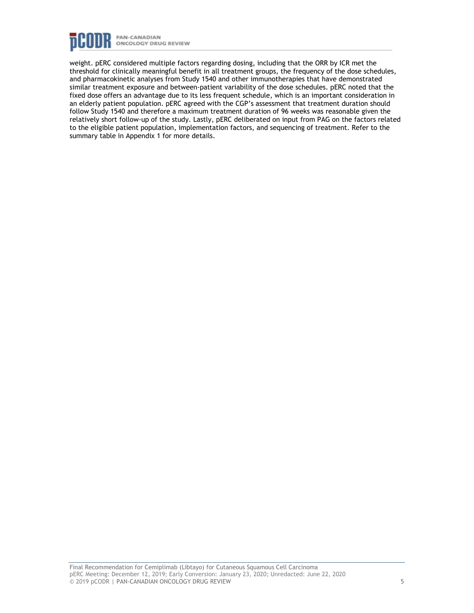

weight. pERC considered multiple factors regarding dosing, including that the ORR by ICR met the threshold for clinically meaningful benefit in all treatment groups, the frequency of the dose schedules, and pharmacokinetic analyses from Study 1540 and other immunotherapies that have demonstrated similar treatment exposure and between-patient variability of the dose schedules. pERC noted that the fixed dose offers an advantage due to its less frequent schedule, which is an important consideration in an elderly patient population. pERC agreed with the CGP's assessment that treatment duration should follow Study 1540 and therefore a maximum treatment duration of 96 weeks was reasonable given the relatively short follow-up of the study. Lastly, pERC deliberated on input from PAG on the factors related to the eligible patient population, implementation factors, and sequencing of treatment. Refer to the summary table in Appendix 1 for more details.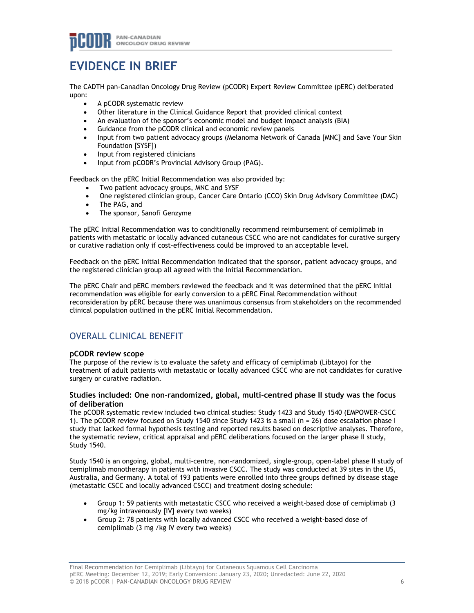# **EVIDENCE IN BRIEF**

The CADTH pan-Canadian Oncology Drug Review (pCODR) Expert Review Committee (pERC) deliberated upon:

- A pCODR systematic review
- Other literature in the Clinical Guidance Report that provided clinical context
- An evaluation of the sponsor's economic model and budget impact analysis (BIA)
- Guidance from the pCODR clinical and economic review panels
- Input from two patient advocacy groups (Melanoma Network of Canada [MNC] and Save Your Skin Foundation [SYSF])
- Input from registered clinicians
- Input from pCODR's Provincial Advisory Group (PAG).

Feedback on the pERC Initial Recommendation was also provided by:

- Two patient advocacy groups, MNC and SYSF
- One registered clinician group, Cancer Care Ontario (CCO) Skin Drug Advisory Committee (DAC)
- The PAG, and
- The sponsor, Sanofi Genzyme

The pERC Initial Recommendation was to conditionally recommend reimbursement of cemiplimab in patients with metastatic or locally advanced cutaneous CSCC who are not candidates for curative surgery or curative radiation only if cost-effectiveness could be improved to an acceptable level.

Feedback on the pERC Initial Recommendation indicated that the sponsor, patient advocacy groups, and the registered clinician group all agreed with the Initial Recommendation.

The pERC Chair and pERC members reviewed the feedback and it was determined that the pERC Initial recommendation was eligible for early conversion to a pERC Final Recommendation without reconsideration by pERC because there was unanimous consensus from stakeholders on the recommended clinical population outlined in the pERC Initial Recommendation.

# OVERALL CLINICAL BENEFIT

# **pCODR review scope**

The purpose of the review is to evaluate the safety and efficacy of cemiplimab (Libtayo) for the treatment of adult patients with metastatic or locally advanced CSCC who are not candidates for curative surgery or curative radiation.

## **Studies included: One non-randomized, global, multi-centred phase II study was the focus of deliberation**

The pCODR systematic review included two clinical studies: Study 1423 and Study 1540 (EMPOWER-CSCC 1). The pCODR review focused on Study 1540 since Study 1423 is a small (n = 26) dose escalation phase I study that lacked formal hypothesis testing and reported results based on descriptive analyses. Therefore, the systematic review, critical appraisal and pERC deliberations focused on the larger phase II study, Study 1540.

Study 1540 is an ongoing, global, multi-centre, non-randomized, single-group, open-label phase II study of cemiplimab monotherapy in patients with invasive CSCC. The study was conducted at 39 sites in the US, Australia, and Germany. A total of 193 patients were enrolled into three groups defined by disease stage (metastatic CSCC and locally advanced CSCC) and treatment dosing schedule:

- Group 1: 59 patients with metastatic CSCC who received a weight-based dose of cemiplimab (3 mg/kg intravenously [IV] every two weeks)
- Group 2: 78 patients with locally advanced CSCC who received a weight-based dose of cemiplimab (3 mg /kg IV every two weeks)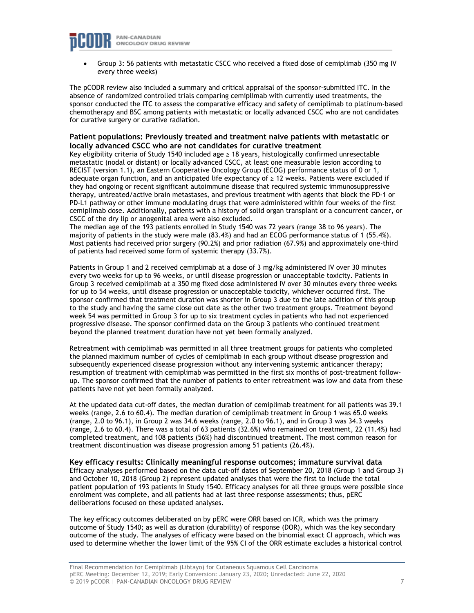

• Group 3: 56 patients with metastatic CSCC who received a fixed dose of cemiplimab (350 mg IV every three weeks)

The pCODR review also included a summary and critical appraisal of the sponsor-submitted ITC. In the absence of randomized controlled trials comparing cemiplimab with currently used treatments, the sponsor conducted the ITC to assess the comparative efficacy and safety of cemiplimab to platinum-based chemotherapy and BSC among patients with metastatic or locally advanced CSCC who are not candidates for curative surgery or curative radiation.

## **Patient populations: Previously treated and treatment naive patients with metastatic or locally advanced CSCC who are not candidates for curative treatment**

Key eligibility criteria of Study 1540 included age ≥ 18 years, histologically confirmed unresectable metastatic (nodal or distant) or locally advanced CSCC, at least one measurable lesion according to RECIST (version 1.1), an Eastern Cooperative Oncology Group (ECOG) performance status of 0 or 1, adequate organ function, and an anticipated life expectancy of ≥ 12 weeks. Patients were excluded if they had ongoing or recent significant autoimmune disease that required systemic immunosuppressive therapy, untreated/active brain metastases, and previous treatment with agents that block the PD-1 or PD-L1 pathway or other immune modulating drugs that were administered within four weeks of the first cemiplimab dose. Additionally, patients with a history of solid organ transplant or a concurrent cancer, or CSCC of the dry lip or anogenital area were also excluded.

The median age of the 193 patients enrolled in Study 1540 was 72 years (range 38 to 96 years). The majority of patients in the study were male (83.4%) and had an ECOG performance status of 1 (55.4%). Most patients had received prior surgery (90.2%) and prior radiation (67.9%) and approximately one-third of patients had received some form of systemic therapy (33.7%).

Patients in Group 1 and 2 received cemiplimab at a dose of 3 mg/kg administered IV over 30 minutes every two weeks for up to 96 weeks, or until disease progression or unacceptable toxicity. Patients in Group 3 received cemiplimab at a 350 mg fixed dose administered IV over 30 minutes every three weeks for up to 54 weeks, until disease progression or unacceptable toxicity, whichever occurred first. The sponsor confirmed that treatment duration was shorter in Group 3 due to the late addition of this group to the study and having the same close out date as the other two treatment groups. Treatment beyond week 54 was permitted in Group 3 for up to six treatment cycles in patients who had not experienced progressive disease. The sponsor confirmed data on the Group 3 patients who continued treatment beyond the planned treatment duration have not yet been formally analyzed.

Retreatment with cemiplimab was permitted in all three treatment groups for patients who completed the planned maximum number of cycles of cemiplimab in each group without disease progression and subsequently experienced disease progression without any intervening systemic anticancer therapy; resumption of treatment with cemiplimab was permitted in the first six months of post-treatment followup. The sponsor confirmed that the number of patients to enter retreatment was low and data from these patients have not yet been formally analyzed.

At the updated data cut-off dates, the median duration of cemiplimab treatment for all patients was 39.1 weeks (range, 2.6 to 60.4)*.* The median duration of cemiplimab treatment in Group 1 was 65.0 weeks (range, 2.0 to 96.1), in Group 2 was 34.6 weeks (range, 2.0 to 96.1), and in Group 3 was 34.3 weeks (range, 2.6 to 60.4). There was a total of 63 patients (32.6%) who remained on treatment, 22 (11.4%) had completed treatment, and 108 patients (56%) had discontinued treatment. The most common reason for treatment discontinuation was disease progression among 51 patients (26.4%).

**Key efficacy results: Clinically meaningful response outcomes; immature survival data** Efficacy analyses performed based on the data cut-off dates of September 20, 2018 (Group 1 and Group 3) and October 10, 2018 (Group 2) represent updated analyses that were the first to include the total patient population of 193 patients in Study 1540. Efficacy analyses for all three groups were possible since enrolment was complete, and all patients had at last three response assessments; thus, pERC deliberations focused on these updated analyses.

The key efficacy outcomes deliberated on by pERC were ORR based on ICR, which was the primary outcome of Study 1540; as well as duration (durability) of response (DOR), which was the key secondary outcome of the study. The analyses of efficacy were based on the binomial exact CI approach, which was used to determine whether the lower limit of the 95% CI of the ORR estimate excludes a historical control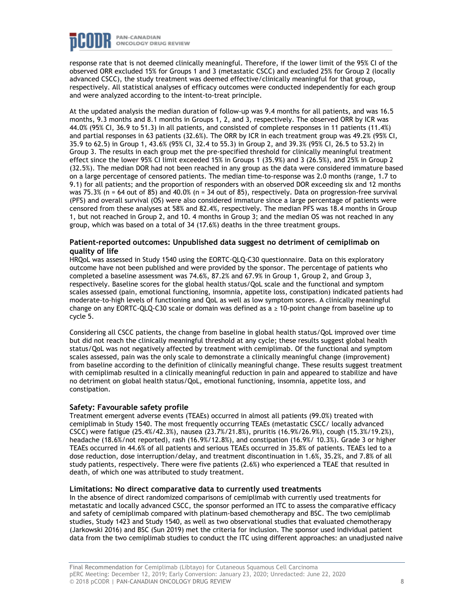

response rate that is not deemed clinically meaningful. Therefore, if the lower limit of the 95% CI of the observed ORR excluded 15% for Groups 1 and 3 (metastatic CSCC) and excluded 25% for Group 2 (locally advanced CSCC), the study treatment was deemed effective/clinically meaningful for that group, respectively. All statistical analyses of efficacy outcomes were conducted independently for each group and were analyzed according to the intent-to-treat principle.

At the updated analysis the median duration of follow-up was 9.4 months for all patients, and was 16.5 months, 9.3 months and 8.1 months in Groups 1, 2, and 3, respectively. The observed ORR by ICR was 44.0% (95% CI, 36.9 to 51.3) in all patients, and consisted of complete responses in 11 patients (11.4%) and partial responses in 63 patients (32.6%). The ORR by ICR in each treatment group was 49.2% (95% CI, 35.9 to 62.5) in Group 1, 43.6% (95% CI, 32.4 to 55.3) in Group 2, and 39.3% (95% CI, 26.5 to 53.2) in Group 3. The results in each group met the pre-specified threshold for clinically meaningful treatment effect since the lower 95% CI limit exceeded 15% in Groups 1 (35.9%) and 3 (26.5%), and 25% in Group 2 (32.5%). The median DOR had not been reached in any group as the data were considered immature based on a large percentage of censored patients. The median time-to-response was 2.0 months (range, 1.7 to 9.1) for all patients; and the proportion of responders with an observed DOR exceeding six and 12 months was 75.3% (n = 64 out of 85) and 40.0% (n = 34 out of 85), respectively. Data on progression-free survival (PFS) and overall survival (OS) were also considered immature since a large percentage of patients were censored from these analyses at 58% and 82.4%, respectively. The median PFS was 18.4 months in Group 1, but not reached in Group 2, and 10. 4 months in Group 3; and the median OS was not reached in any group, which was based on a total of 34 (17.6%) deaths in the three treatment groups.

## **Patient-reported outcomes: Unpublished data suggest no detriment of cemiplimab on quality of life**

HRQoL was assessed in Study 1540 using the EORTC-QLQ-C30 questionnaire. Data on this exploratory outcome have not been published and were provided by the sponsor. The percentage of patients who completed a baseline assessment was 74.6%, 87.2% and 67.9% in Group 1, Group 2, and Group 3, respectively. Baseline scores for the global health status/QoL scale and the functional and symptom scales assessed (pain, emotional functioning, insomnia, appetite loss, constipation) indicated patients had moderate-to-high levels of functioning and QoL as well as low symptom scores. A clinically meaningful change on any EORTC-QLQ-C30 scale or domain was defined as a ≥ 10-point change from baseline up to cycle 5.

Considering all CSCC patients, the change from baseline in global health status/QoL improved over time but did not reach the clinically meaningful threshold at any cycle; these results suggest global health status/QoL was not negatively affected by treatment with cemiplimab. Of the functional and symptom scales assessed, pain was the only scale to demonstrate a clinically meaningful change (improvement) from baseline according to the definition of clinically meaningful change. These results suggest treatment with cemiplimab resulted in a clinically meaningful reduction in pain and appeared to stabilize and have no detriment on global health status/QoL, emotional functioning, insomnia, appetite loss, and constipation.

### **Safety: Favourable safety profile**

Treatment emergent adverse events (TEAEs) occurred in almost all patients (99.0%) treated with cemiplimab in Study 1540. The most frequently occurring TEAEs (metastatic CSCC/ locally advanced CSCC) were fatigue (25.4%/42.3%), nausea (23.7%/21.8%), pruritis (16.9%/26.9%), cough (15.3%/19.2%), headache (18.6%/not reported), rash (16.9%/12.8%), and constipation (16.9%/ 10.3%). Grade 3 or higher TEAEs occurred in 44.6% of all patients and serious TEAEs occurred in 35.8% of patients. TEAEs led to a dose reduction, dose interruption/delay, and treatment discontinuation in 1.6%, 35.2%, and 7.8% of all study patients, respectively. There were five patients (2.6%) who experienced a TEAE that resulted in death, of which one was attributed to study treatment.

### **Limitations: No direct comparative data to currently used treatments**

In the absence of direct randomized comparisons of cemiplimab with currently used treatments for metastatic and locally advanced CSCC, the sponsor performed an ITC to assess the comparative efficacy and safety of cemiplimab compared with platinum-based chemotherapy and BSC. The two cemiplimab studies, Study 1423 and Study 1540, as well as two observational studies that evaluated chemotherapy (Jarkowski 2016) and BSC (Sun 2019) met the criteria for inclusion. The sponsor used individual patient data from the two cemiplimab studies to conduct the ITC using different approaches: an unadjusted naive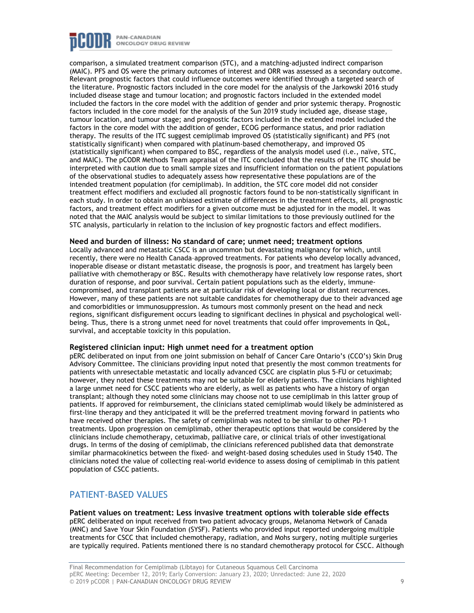

comparison, a simulated treatment comparison (STC), and a matching-adjusted indirect comparison (MAIC). PFS and OS were the primary outcomes of interest and ORR was assessed as a secondary outcome. Relevant prognostic factors that could influence outcomes were identified through a targeted search of the literature. Prognostic factors included in the core model for the analysis of the Jarkowski 2016 study included disease stage and tumour location; and prognostic factors included in the extended model included the factors in the core model with the addition of gender and prior systemic therapy. Prognostic factors included in the core model for the analysis of the Sun 2019 study included age, disease stage, tumour location, and tumour stage; and prognostic factors included in the extended model included the factors in the core model with the addition of gender, ECOG performance status, and prior radiation therapy. The results of the ITC suggest cemiplimab improved OS (statistically significant) and PFS (not statistically significant) when compared with platinum-based chemotherapy, and improved OS (statistically significant) when compared to BSC, regardless of the analysis model used (i.e., naïve, STC, and MAIC). The pCODR Methods Team appraisal of the ITC concluded that the results of the ITC should be interpreted with caution due to small sample sizes and insufficient information on the patient populations of the observational studies to adequately assess how representative these populations are of the intended treatment population (for cemiplimab). In addition, the STC core model did not consider treatment effect modifiers and excluded all prognostic factors found to be non-statistically significant in each study. In order to obtain an unbiased estimate of differences in the treatment effects, all prognostic factors, and treatment effect modifiers for a given outcome must be adjusted for in the model. It was noted that the MAIC analysis would be subject to similar limitations to those previously outlined for the STC analysis, particularly in relation to the inclusion of key prognostic factors and effect modifiers.

#### **Need and burden of illness: No standard of care; unmet need; treatment options**

Locally advanced and metastatic CSCC is an uncommon but devastating malignancy for which, until recently, there were no Health Canada–approved treatments. For patients who develop locally advanced, inoperable disease or distant metastatic disease, the prognosis is poor, and treatment has largely been palliative with chemotherapy or BSC. Results with chemotherapy have relatively low response rates, short duration of response, and poor survival. Certain patient populations such as the elderly, immunecompromised, and transplant patients are at particular risk of developing local or distant recurrences. However, many of these patients are not suitable candidates for chemotherapy due to their advanced age and comorbidities or immunosuppression. As tumours most commonly present on the head and neck regions, significant disfigurement occurs leading to significant declines in physical and psychological wellbeing. Thus, there is a strong unmet need for novel treatments that could offer improvements in QoL, survival, and acceptable toxicity in this population.

#### **Registered clinician input: High unmet need for a treatment option**

pERC deliberated on input from one joint submission on behalf of Cancer Care Ontario's (CCO's) Skin Drug Advisory Committee. The clinicians providing input noted that presently the most common treatments for patients with unresectable metastatic and locally advanced CSCC are cisplatin plus 5-FU or cetuximab; however, they noted these treatments may not be suitable for elderly patients. The clinicians highlighted a large unmet need for CSCC patients who are elderly, as well as patients who have a history of organ transplant; although they noted some clinicians may choose not to use cemiplimab in this latter group of patients. If approved for reimbursement, the clinicians stated cemiplimab would likely be administered as first-line therapy and they anticipated it will be the preferred treatment moving forward in patients who have received other therapies. The safety of cemiplimab was noted to be similar to other PD-1 treatments. Upon progression on cemiplimab, other therapeutic options that would be considered by the clinicians include chemotherapy, cetuximab, palliative care, or clinical trials of other investigational drugs. In terms of the dosing of cemiplimab, the clinicians referenced published data that demonstrate similar pharmacokinetics between the fixed- and weight-based dosing schedules used in Study 1540. The clinicians noted the value of collecting real-world evidence to assess dosing of cemiplimab in this patient population of CSCC patients.

# PATIENT-BASED VALUES

**Patient values on treatment: Less invasive treatment options with tolerable side effects** pERC deliberated on input received from two patient advocacy groups, Melanoma Network of Canada (MNC) and Save Your Skin Foundation (SYSF). Patients who provided input reported undergoing multiple treatments for CSCC that included chemotherapy, radiation, and Mohs surgery, noting multiple surgeries are typically required. Patients mentioned there is no standard chemotherapy protocol for CSCC. Although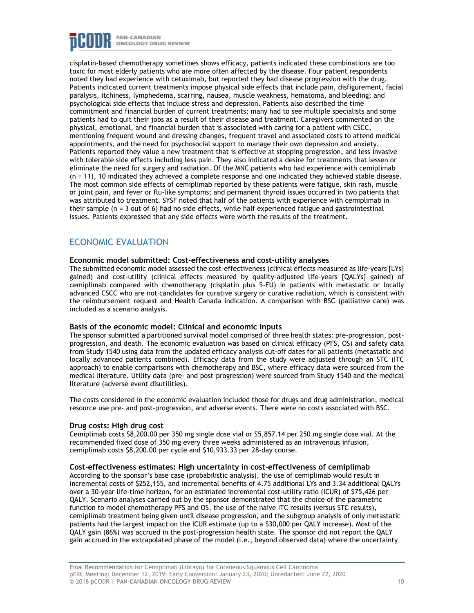

cisplatin-based chemotherapy sometimes shows efficacy, patients indicated these combinations are too toxic for most elderly patients who are more often affected by the disease. Four patient respondents noted they had experience with cetuximab, but reported they had disease progression with the drug. Patients indicated current treatments impose physical side effects that include pain, disfigurement, facial paralysis, itchiness, lymphedema, scarring, nausea, muscle weakness, hematoma, and bleeding; and psychological side effects that include stress and depression. Patients also described the time commitment and financial burden of current treatments; many had to see multiple specialists and some patients had to quit their jobs as a result of their disease and treatment. Caregivers commented on the physical, emotional, and financial burden that is associated with caring for a patient with CSCC, mentioning frequent wound and dressing changes, frequent travel and associated costs to attend medical appointments, and the need for psychosocial support to manage their own depression and anxiety. Patients reported they value a new treatment that is effective at stopping progression, and less invasive with tolerable side effects including less pain. They also indicated a desire for treatments that lessen or eliminate the need for surgery and radiation. Of the MNC patients who had experience with cemiplimab (n = 11), 10 indicated they achieved a complete response and one indicated they achieved stable disease. The most common side effects of cemiplimab reported by these patients were fatigue, skin rash, muscle or joint pain, and fever or flu-like symptoms; and permanent thyroid issues occurred in two patients that was attributed to treatment. SYSF noted that half of the patients with experience with cemiplimab in their sample (n = 3 out of 6) had no side effects, while half experienced fatigue and gastrointestinal issues. Patients expressed that any side effects were worth the results of the treatment.

# ECONOMIC EVALUATION

## **Economic model submitted: Cost-effectiveness and cost-utility analyses**

The submitted economic model assessed the cost-effectiveness (clinical effects measured as life-years [LYs] gained) and cost-utility (clinical effects measured by quality-adjusted life-years [QALYs] gained) of cemiplimab compared with chemotherapy (cisplatin plus 5-FU) in patients with metastatic or locally advanced CSCC who are not candidates for curative surgery or curative radiation, which is consistent with the reimbursement request and Health Canada indication. A comparison with BSC (palliative care) was included as a scenario analysis.

### **Basis of the economic model: Clinical and economic inputs**

The sponsor submitted a partitioned survival model comprised of three health states: pre-progression, postprogression, and death. The economic evaluation was based on clinical efficacy (PFS, OS) and safety data from Study 1540 using data from the updated efficacy analysis cut-off dates for all patients (metastatic and locally advanced patients combined). Efficacy data from the study were adjusted through an STC (ITC approach) to enable comparisons with chemotherapy and BSC, where efficacy data were sourced from the medical literature. Utility data (pre- and post-progression) were sourced from Study 1540 and the medical literature (adverse event disutilities).

The costs considered in the economic evaluation included those for drugs and drug administration, medical resource use pre- and post-progression, and adverse events. There were no costs associated with BSC.

### **Drug costs: High drug cost**

Cemiplimab costs \$8,200.00 per 350 mg single dose vial or \$5,857.14 per 250 mg single dose vial. At the recommended fixed dose of 350 mg every three weeks administered as an intravenous infusion, cemiplimab costs \$8,200.00 per cycle and \$10,933.33 per 28-day course.

#### **Cost-effectiveness estimates: High uncertainty in cost-effectiveness of cemiplimab**

According to the sponsor's base case (probabilistic analysis), the use of cemiplimab would result in incremental costs of \$252,155, and incremental benefits of 4.75 additional LYs and 3.34 additional QALYs over a 30-year life-time horizon, for an estimated incremental cost-utility ratio (ICUR) of \$75,426 per QALY. Scenario analyses carried out by the sponsor demonstrated that the choice of the parametric function to model chemotherapy PFS and OS, the use of the naive ITC results (versus STC results), cemiplimab treatment being given until disease progression, and the subgroup analysis of only metastatic patients had the largest impact on the ICUR estimate (up to a \$30,000 per QALY increase). Most of the QALY gain (86%) was accrued in the post-progression health state. The sponsor did not report the QALY gain accrued in the extrapolated phase of the model (i.e., beyond observed data) where the uncertainty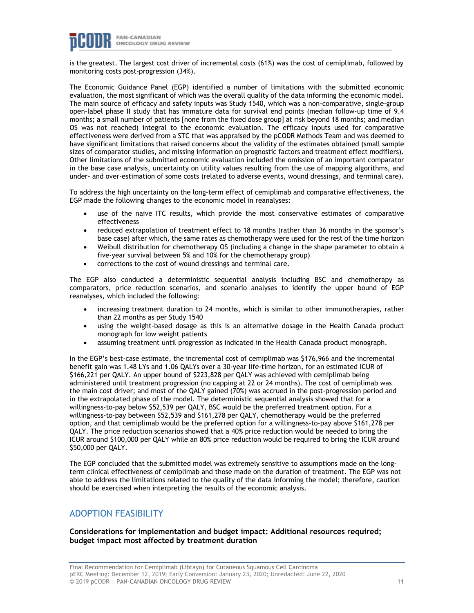

is the greatest. The largest cost driver of incremental costs (61%) was the cost of cemiplimab, followed by monitoring costs post-progression (34%).

The Economic Guidance Panel (EGP) identified a number of limitations with the submitted economic evaluation, the most significant of which was the overall quality of the data informing the economic model. The main source of efficacy and safety inputs was Study 1540, which was a non-comparative, single-group open-label phase II study that has immature data for survival end points (median follow-up time of 9.4 months; a small number of patients [none from the fixed dose group] at risk beyond 18 months; and median OS was not reached) integral to the economic evaluation. The efficacy inputs used for comparative effectiveness were derived from a STC that was appraised by the pCODR Methods Team and was deemed to have significant limitations that raised concerns about the validity of the estimates obtained (small sample sizes of comparator studies, and missing information on prognostic factors and treatment effect modifiers). Other limitations of the submitted economic evaluation included the omission of an important comparator in the base case analysis, uncertainty on utility values resulting from the use of mapping algorithms, and under- and over-estimation of some costs (related to adverse events, wound dressings, and terminal care).

To address the high uncertainty on the long-term effect of cemiplimab and comparative effectiveness, the EGP made the following changes to the economic model in reanalyses:

- use of the naive ITC results, which provide the most conservative estimates of comparative effectiveness
- reduced extrapolation of treatment effect to 18 months (rather than 36 months in the sponsor's base case) after which, the same rates as chemotherapy were used for the rest of the time horizon
- Weibull distribution for chemotherapy OS (including a change in the shape parameter to obtain a five-year survival between 5% and 10% for the chemotherapy group)
- corrections to the cost of wound dressings and terminal care.

The EGP also conducted a deterministic sequential analysis including BSC and chemotherapy as comparators, price reduction scenarios, and scenario analyses to identify the upper bound of EGP reanalyses, which included the following:

- increasing treatment duration to 24 months, which is similar to other immunotherapies, rather than 22 months as per Study 1540
- using the weight-based dosage as this is an alternative dosage in the Health Canada product monograph for low weight patients
- assuming treatment until progression as indicated in the Health Canada product monograph.

In the EGP's best-case estimate, the incremental cost of cemiplimab was \$176,966 and the incremental benefit gain was 1.48 LYs and 1.06 QALYs over a 30-year life-time horizon, for an estimated ICUR of \$166,221 per QALY. An upper bound of \$223,828 per QALY was achieved with cemiplimab being administered until treatment progression (no capping at 22 or 24 months). The cost of cemiplimab was the main cost driver; and most of the QALY gained (70%) was accrued in the post-progression period and in the extrapolated phase of the model. The deterministic sequential analysis showed that for a willingness-to-pay below \$52,539 per QALY, BSC would be the preferred treatment option. For a willingness-to-pay between \$52,539 and \$161,278 per QALY, chemotherapy would be the preferred option, and that cemiplimab would be the preferred option for a willingness-to-pay above \$161,278 per QALY. The price reduction scenarios showed that a 40% price reduction would be needed to bring the ICUR around \$100,000 per QALY while an 80% price reduction would be required to bring the ICUR around \$50,000 per QALY.

The EGP concluded that the submitted model was extremely sensitive to assumptions made on the longterm clinical effectiveness of cemiplimab and those made on the duration of treatment. The EGP was not able to address the limitations related to the quality of the data informing the model; therefore, caution should be exercised when interpreting the results of the economic analysis.

# ADOPTION FEASIBILITY

# **Considerations for implementation and budget impact: Additional resources required; budget impact most affected by treatment duration**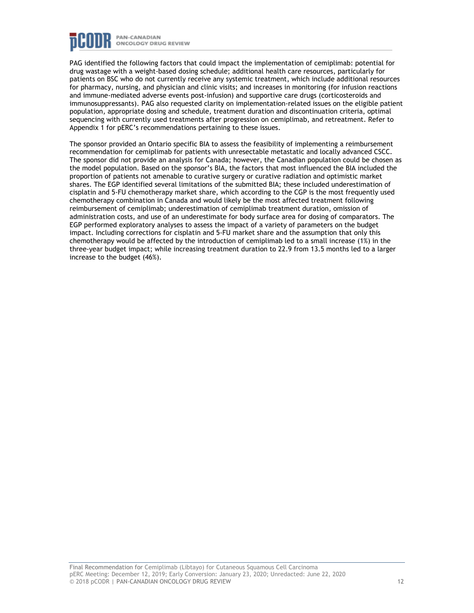

PAG identified the following factors that could impact the implementation of cemiplimab: potential for drug wastage with a weight-based dosing schedule; additional health care resources, particularly for patients on BSC who do not currently receive any systemic treatment, which include additional resources for pharmacy, nursing, and physician and clinic visits; and increases in monitoring (for infusion reactions and immune-mediated adverse events post-infusion) and supportive care drugs (corticosteroids and immunosuppressants). PAG also requested clarity on implementation-related issues on the eligible patient population, appropriate dosing and schedule, treatment duration and discontinuation criteria, optimal sequencing with currently used treatments after progression on cemiplimab, and retreatment. Refer to Appendix 1 for pERC's recommendations pertaining to these issues.

The sponsor provided an Ontario specific BIA to assess the feasibility of implementing a reimbursement recommendation for cemiplimab for patients with unresectable metastatic and locally advanced CSCC. The sponsor did not provide an analysis for Canada; however, the Canadian population could be chosen as the model population. Based on the sponsor's BIA, the factors that most influenced the BIA included the proportion of patients not amenable to curative surgery or curative radiation and optimistic market shares. The EGP identified several limitations of the submitted BIA; these included underestimation of cisplatin and 5-FU chemotherapy market share, which according to the CGP is the most frequently used chemotherapy combination in Canada and would likely be the most affected treatment following reimbursement of cemiplimab; underestimation of cemiplimab treatment duration, omission of administration costs, and use of an underestimate for body surface area for dosing of comparators. The EGP performed exploratory analyses to assess the impact of a variety of parameters on the budget impact. Including corrections for cisplatin and 5-FU market share and the assumption that only this chemotherapy would be affected by the introduction of cemiplimab led to a small increase (1%) in the three-year budget impact; while increasing treatment duration to 22.9 from 13.5 months led to a larger increase to the budget (46%).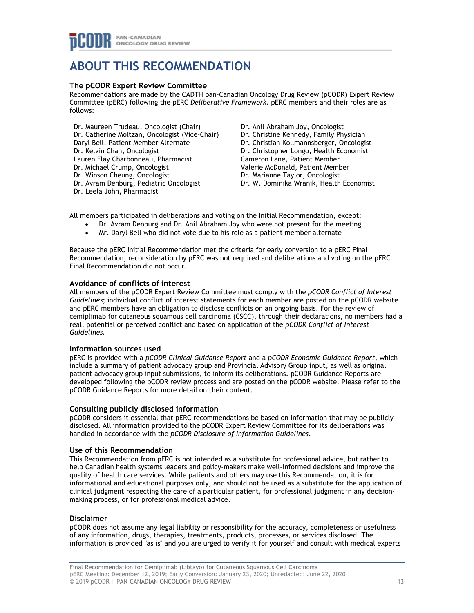# **ABOUT THIS RECOMMENDATION**

## **The pCODR Expert Review Committee**

Recommendations are made by the CADTH pan-Canadian Oncology Drug Review (pCODR) Expert Review Committee (pERC) following the pERC *Deliberative Framework*. pERC members and their roles are as follows:

- Dr. Maureen Trudeau, Oncologist (Chair) Dr. Catherine Moltzan, Oncologist (Vice-Chair) Daryl Bell, Patient Member Alternate Dr. Kelvin Chan, Oncologist Lauren Flay Charbonneau, Pharmacist Dr. Michael Crump, Oncologist Dr. Winson Cheung, Oncologist Dr. Avram Denburg, Pediatric Oncologist Dr. Leela John, Pharmacist
- Dr. Anil Abraham Joy, Oncologist Dr. Christine Kennedy, Family Physician Dr. Christian Kollmannsberger, Oncologist Dr. Christopher Longo, Health Economist Cameron Lane, Patient Member Valerie McDonald, Patient Member Dr. Marianne Taylor, Oncologist Dr. W. Dominika Wranik, Health Economist

All members participated in deliberations and voting on the Initial Recommendation, except:

- Dr. Avram Denburg and Dr. Anil Abraham Joy who were not present for the meeting
- Mr. Daryl Bell who did not vote due to his role as a patient member alternate

Because the pERC Initial Recommendation met the criteria for early conversion to a pERC Final Recommendation, reconsideration by pERC was not required and deliberations and voting on the pERC Final Recommendation did not occur.

## **Avoidance of conflicts of interest**

All members of the pCODR Expert Review Committee must comply with the *pCODR Conflict of Interest Guidelines*; individual conflict of interest statements for each member are posted on the pCODR website and pERC members have an obligation to disclose conflicts on an ongoing basis. For the review of cemiplimab for cutaneous squamous cell carcinoma (CSCC), through their declarations, no members had a real, potential or perceived conflict and based on application of the *pCODR Conflict of Interest Guidelines.*

### **Information sources used**

pERC is provided with a *pCODR Clinical Guidance Report* and a *pCODR Economic Guidance Report*, which include a summary of patient advocacy group and Provincial Advisory Group input, as well as original patient advocacy group input submissions, to inform its deliberations. pCODR Guidance Reports are developed following the pCODR review process and are posted on the pCODR website. Please refer to the pCODR Guidance Reports for more detail on their content.

### **Consulting publicly disclosed information**

pCODR considers it essential that pERC recommendations be based on information that may be publicly disclosed. All information provided to the pCODR Expert Review Committee for its deliberations was handled in accordance with the *pCODR Disclosure of Information Guidelines*.

### **Use of this Recommendation**

This Recommendation from pERC is not intended as a substitute for professional advice, but rather to help Canadian health systems leaders and policy-makers make well-informed decisions and improve the quality of health care services. While patients and others may use this Recommendation, it is for informational and educational purposes only, and should not be used as a substitute for the application of clinical judgment respecting the care of a particular patient, for professional judgment in any decisionmaking process, or for professional medical advice.

### **Disclaimer**

pCODR does not assume any legal liability or responsibility for the accuracy, completeness or usefulness of any information, drugs, therapies, treatments, products, processes, or services disclosed. The information is provided "as is" and you are urged to verify it for yourself and consult with medical experts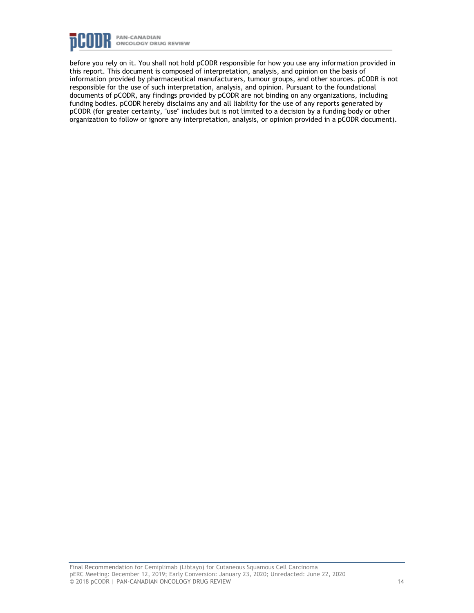

before you rely on it. You shall not hold pCODR responsible for how you use any information provided in this report. This document is composed of interpretation, analysis, and opinion on the basis of information provided by pharmaceutical manufacturers, tumour groups, and other sources. pCODR is not responsible for the use of such interpretation, analysis, and opinion. Pursuant to the foundational documents of pCODR, any findings provided by pCODR are not binding on any organizations, including funding bodies. pCODR hereby disclaims any and all liability for the use of any reports generated by pCODR (for greater certainty, "use" includes but is not limited to a decision by a funding body or other organization to follow or ignore any interpretation, analysis, or opinion provided in a pCODR document).